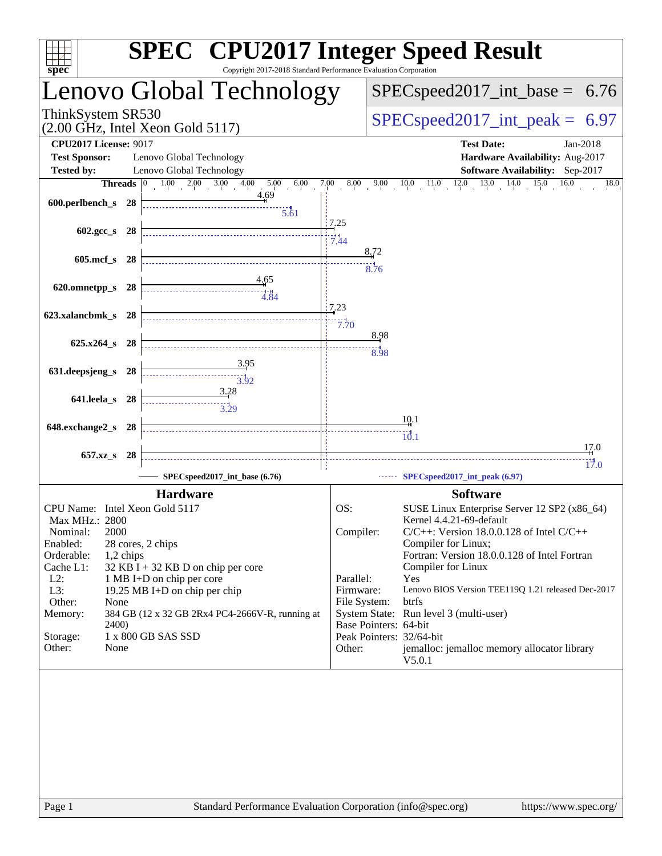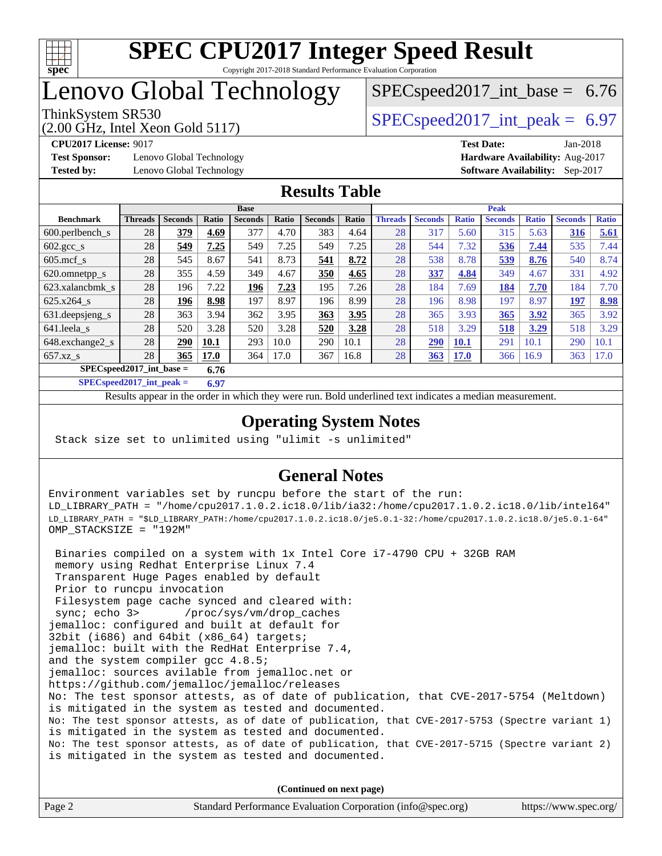

## Lenovo Global Technology

(2.00 GHz, Intel Xeon Gold 5117)

ThinkSystem SR530  $SPEC speed2017$  int peak = 6.97

 $SPECspeed2017\_int\_base = 6.76$ 

**[Test Sponsor:](http://www.spec.org/auto/cpu2017/Docs/result-fields.html#TestSponsor)** Lenovo Global Technology **[Hardware Availability:](http://www.spec.org/auto/cpu2017/Docs/result-fields.html#HardwareAvailability)** Aug-2017 **[Tested by:](http://www.spec.org/auto/cpu2017/Docs/result-fields.html#Testedby)** Lenovo Global Technology **[Software Availability:](http://www.spec.org/auto/cpu2017/Docs/result-fields.html#SoftwareAvailability)** Sep-2017

**[CPU2017 License:](http://www.spec.org/auto/cpu2017/Docs/result-fields.html#CPU2017License)** 9017 **[Test Date:](http://www.spec.org/auto/cpu2017/Docs/result-fields.html#TestDate)** Jan-2018

### **[Results Table](http://www.spec.org/auto/cpu2017/Docs/result-fields.html#ResultsTable)**

|                                      | <b>Base</b>    |                |       |                | <b>Peak</b> |                |       |                |                |              |                |              |                |              |
|--------------------------------------|----------------|----------------|-------|----------------|-------------|----------------|-------|----------------|----------------|--------------|----------------|--------------|----------------|--------------|
| <b>Benchmark</b>                     | <b>Threads</b> | <b>Seconds</b> | Ratio | <b>Seconds</b> | Ratio       | <b>Seconds</b> | Ratio | <b>Threads</b> | <b>Seconds</b> | <b>Ratio</b> | <b>Seconds</b> | <b>Ratio</b> | <b>Seconds</b> | <b>Ratio</b> |
| $600.$ perlbench $\mathsf{S}$        | 28             | 379            | 4.69  | 377            | 4.70        | 383            | 4.64  | 28             | 317            | 5.60         | 315            | 5.63         | 316            | 5.61         |
| $602 \text{.} \text{gcc}\text{_<}$ s | 28             | 549            | 7.25  | 549            | 7.25        | 549            | 7.25  | 28             | 544            | 7.32         | 536            | 7.44         | 535            | 7.44         |
| $605$ .mcf s                         | 28             | 545            | 8.67  | 541            | 8.73        | 541            | 8.72  | 28             | 538            | 8.78         | 539            | 8.76         | 540            | 8.74         |
| 620.omnetpp_s                        | 28             | 355            | 4.59  | 349            | 4.67        | 350            | 4.65  | 28             | 337            | 4.84         | 349            | 4.67         | 331            | 4.92         |
| 623.xalancbmk s                      | 28             | 196            | 7.22  | 196            | 7.23        | 195            | 7.26  | 28             | 184            | 7.69         | <b>184</b>     | 7.70         | 184            | 7.70         |
| 625.x264 s                           | 28             | 196            | 8.98  | 197            | 8.97        | 196            | 8.99  | 28             | 196            | 8.98         | 197            | 8.97         | 197            | 8.98         |
| $631.$ deepsjeng s                   | 28             | 363            | 3.94  | 362            | 3.95        | 363            | 3.95  | 28             | 365            | 3.93         | 365            | 3.92         | 365            | 3.92         |
| 641.leela s                          | 28             | 520            | 3.28  | 520            | 3.28        | 520            | 3.28  | 28             | 518            | 3.29         | 518            | 3.29         | 518            | 3.29         |
| 648.exchange2_s                      | 28             | 290            | 10.1  | 293            | 10.0        | 290            | 10.1  | 28             | 290            | <b>10.1</b>  | 291            | 10.1         | 290            | 10.1         |
| $657.xz$ s                           | 28             | 365            | 17.0  | 364            | 17.0        | 367            | 16.8  | 28             | 363            | <b>17.0</b>  | 366            | 16.9         | 363            | 17.0         |
| $SPECspeed2017$ int base =<br>6.76   |                |                |       |                |             |                |       |                |                |              |                |              |                |              |

**[SPECspeed2017\\_int\\_peak =](http://www.spec.org/auto/cpu2017/Docs/result-fields.html#SPECspeed2017intpeak) 6.97**

Results appear in the [order in which they were run.](http://www.spec.org/auto/cpu2017/Docs/result-fields.html#RunOrder) Bold underlined text [indicates a median measurement](http://www.spec.org/auto/cpu2017/Docs/result-fields.html#Median).

## **[Operating System Notes](http://www.spec.org/auto/cpu2017/Docs/result-fields.html#OperatingSystemNotes)**

Stack size set to unlimited using "ulimit -s unlimited"

## **[General Notes](http://www.spec.org/auto/cpu2017/Docs/result-fields.html#GeneralNotes)**

Environment variables set by runcpu before the start of the run: LD\_LIBRARY\_PATH = "/home/cpu2017.1.0.2.ic18.0/lib/ia32:/home/cpu2017.1.0.2.ic18.0/lib/intel64" LD\_LIBRARY\_PATH = "\$LD\_LIBRARY\_PATH:/home/cpu2017.1.0.2.ic18.0/je5.0.1-32:/home/cpu2017.1.0.2.ic18.0/je5.0.1-64" OMP\_STACKSIZE = "192M"

 Binaries compiled on a system with 1x Intel Core i7-4790 CPU + 32GB RAM memory using Redhat Enterprise Linux 7.4 Transparent Huge Pages enabled by default Prior to runcpu invocation Filesystem page cache synced and cleared with: sync; echo 3> /proc/sys/vm/drop\_caches jemalloc: configured and built at default for 32bit (i686) and 64bit (x86\_64) targets; jemalloc: built with the RedHat Enterprise 7.4, and the system compiler gcc 4.8.5; jemalloc: sources avilable from jemalloc.net or <https://github.com/jemalloc/jemalloc/releases> No: The test sponsor attests, as of date of publication, that CVE-2017-5754 (Meltdown) is mitigated in the system as tested and documented. No: The test sponsor attests, as of date of publication, that CVE-2017-5753 (Spectre variant 1) is mitigated in the system as tested and documented. No: The test sponsor attests, as of date of publication, that CVE-2017-5715 (Spectre variant 2) is mitigated in the system as tested and documented.

**(Continued on next page)**

| Page 2 | Standard Performance Evaluation Corporation (info@spec.org) | https://www.spec.org/ |
|--------|-------------------------------------------------------------|-----------------------|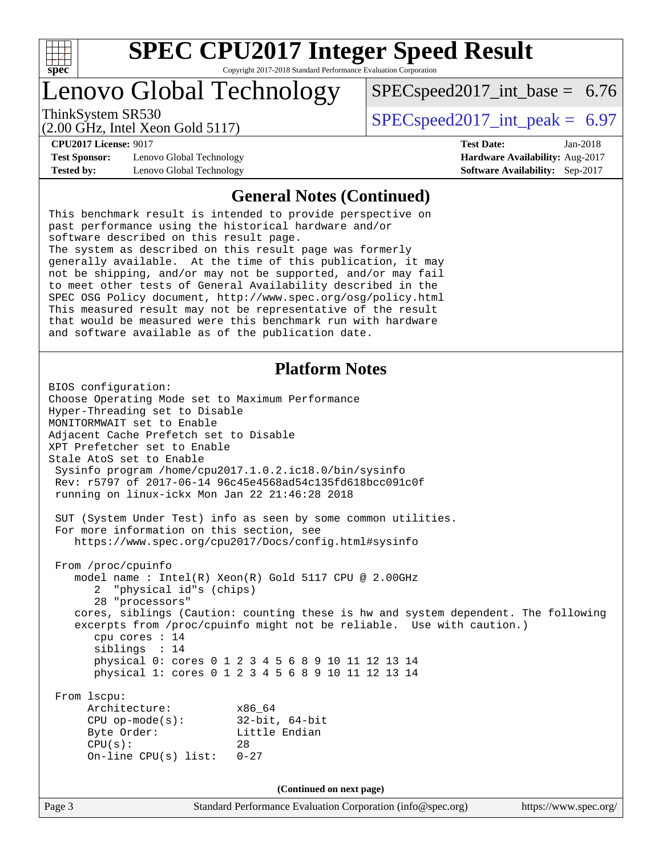

# Lenovo Global Technology

ThinkSystem SR530  $SPEC speed2017$  int peak = 6.97

 $SPECspeed2017\_int\_base = 6.76$ 

(2.00 GHz, Intel Xeon Gold 5117)

**[CPU2017 License:](http://www.spec.org/auto/cpu2017/Docs/result-fields.html#CPU2017License)** 9017 **[Test Date:](http://www.spec.org/auto/cpu2017/Docs/result-fields.html#TestDate)** Jan-2018

**[Test Sponsor:](http://www.spec.org/auto/cpu2017/Docs/result-fields.html#TestSponsor)** Lenovo Global Technology **[Hardware Availability:](http://www.spec.org/auto/cpu2017/Docs/result-fields.html#HardwareAvailability)** Aug-2017 **[Tested by:](http://www.spec.org/auto/cpu2017/Docs/result-fields.html#Testedby)** Lenovo Global Technology **[Software Availability:](http://www.spec.org/auto/cpu2017/Docs/result-fields.html#SoftwareAvailability)** Sep-2017

### **[General Notes \(Continued\)](http://www.spec.org/auto/cpu2017/Docs/result-fields.html#GeneralNotes)**

This benchmark result is intended to provide perspective on past performance using the historical hardware and/or software described on this result page. The system as described on this result page was formerly generally available. At the time of this publication, it may not be shipping, and/or may not be supported, and/or may fail to meet other tests of General Availability described in the SPEC OSG Policy document, <http://www.spec.org/osg/policy.html> This measured result may not be representative of the result that would be measured were this benchmark run with hardware and software available as of the publication date.

## **[Platform Notes](http://www.spec.org/auto/cpu2017/Docs/result-fields.html#PlatformNotes)**

BIOS configuration: Choose Operating Mode set to Maximum Performance Hyper-Threading set to Disable MONITORMWAIT set to Enable Adjacent Cache Prefetch set to Disable XPT Prefetcher set to Enable Stale AtoS set to Enable Sysinfo program /home/cpu2017.1.0.2.ic18.0/bin/sysinfo Rev: r5797 of 2017-06-14 96c45e4568ad54c135fd618bcc091c0f running on linux-ickx Mon Jan 22 21:46:28 2018 SUT (System Under Test) info as seen by some common utilities. For more information on this section, see <https://www.spec.org/cpu2017/Docs/config.html#sysinfo> From /proc/cpuinfo model name : Intel(R) Xeon(R) Gold 5117 CPU @ 2.00GHz 2 "physical id"s (chips) 28 "processors" cores, siblings (Caution: counting these is hw and system dependent. The following excerpts from /proc/cpuinfo might not be reliable. Use with caution.) cpu cores : 14 siblings : 14 physical 0: cores 0 1 2 3 4 5 6 8 9 10 11 12 13 14 physical 1: cores 0 1 2 3 4 5 6 8 9 10 11 12 13 14 From lscpu: Architecture: x86\_64 CPU op-mode(s): 32-bit, 64-bit Byte Order: Little Endian  $CPU(s):$  28 On-line CPU(s) list: 0-27 **(Continued on next page)**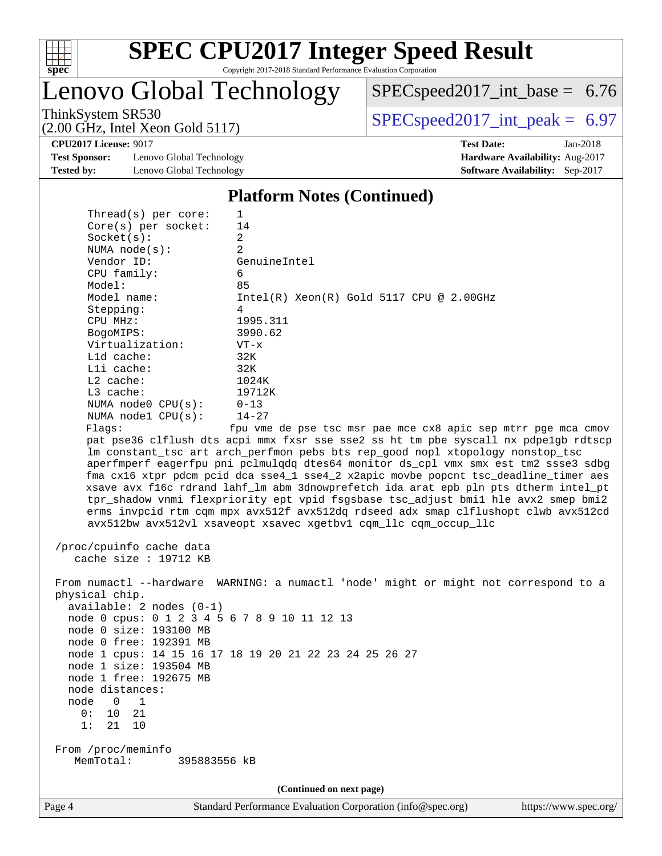

Lenovo Global Technology

[SPECspeed2017\\_int\\_base =](http://www.spec.org/auto/cpu2017/Docs/result-fields.html#SPECspeed2017intbase) 6.76

(2.00 GHz, Intel Xeon Gold 5117)

ThinkSystem SR530<br>  $(2.00 \text{ GHz. Intel Yes} \cdot \text{Gold } 5117)$  [SPECspeed2017\\_int\\_peak =](http://www.spec.org/auto/cpu2017/Docs/result-fields.html#SPECspeed2017intpeak) 6.97

**[CPU2017 License:](http://www.spec.org/auto/cpu2017/Docs/result-fields.html#CPU2017License)** 9017 **[Test Date:](http://www.spec.org/auto/cpu2017/Docs/result-fields.html#TestDate)** Jan-2018

**[Test Sponsor:](http://www.spec.org/auto/cpu2017/Docs/result-fields.html#TestSponsor)** Lenovo Global Technology **[Hardware Availability:](http://www.spec.org/auto/cpu2017/Docs/result-fields.html#HardwareAvailability)** Aug-2017 **[Tested by:](http://www.spec.org/auto/cpu2017/Docs/result-fields.html#Testedby)** Lenovo Global Technology **[Software Availability:](http://www.spec.org/auto/cpu2017/Docs/result-fields.html#SoftwareAvailability)** Sep-2017

**[Platform Notes \(Continued\)](http://www.spec.org/auto/cpu2017/Docs/result-fields.html#PlatformNotes)**

| $Thread(s)$ per core:                        | $\mathbf{1}$                                                                         |
|----------------------------------------------|--------------------------------------------------------------------------------------|
| Core(s) per socket:                          | 14                                                                                   |
| Socket(s):                                   | $\overline{2}$                                                                       |
| NUMA $node(s)$ :                             | 2                                                                                    |
| Vendor ID:                                   | GenuineIntel                                                                         |
| CPU family:                                  | 6                                                                                    |
| Model:                                       | 85                                                                                   |
| Model name:                                  | $Intel(R)$ Xeon $(R)$ Gold 5117 CPU @ 2.00GHz                                        |
| Stepping:                                    | 4                                                                                    |
| CPU MHz:                                     | 1995.311                                                                             |
| BogoMIPS:                                    | 3990.62                                                                              |
| Virtualization:                              | $VT - x$                                                                             |
| L1d cache:                                   | 32K                                                                                  |
| Lli cache:                                   | 32K                                                                                  |
| $L2$ cache:                                  | 1024K                                                                                |
| L3 cache:                                    | 19712K                                                                               |
| NUMA node0 CPU(s):                           | $0 - 13$                                                                             |
| NUMA nodel CPU(s):                           | $14 - 27$                                                                            |
| Flaqs:                                       | fpu vme de pse tsc msr pae mce cx8 apic sep mtrr pge mca cmov                        |
|                                              | pat pse36 clflush dts acpi mmx fxsr sse sse2 ss ht tm pbe syscall nx pdpe1gb rdtscp  |
|                                              | lm constant_tsc art arch_perfmon pebs bts rep_good nopl xtopology nonstop_tsc        |
|                                              | aperfmperf eagerfpu pni pclmulqdq dtes64 monitor ds_cpl vmx smx est tm2 ssse3 sdbg   |
|                                              | fma cx16 xtpr pdcm pcid dca sse4_1 sse4_2 x2apic movbe popcnt tsc_deadline_timer aes |
|                                              | xsave avx f16c rdrand lahf_lm abm 3dnowprefetch ida arat epb pln pts dtherm intel_pt |
|                                              | tpr_shadow vnmi flexpriority ept vpid fsgsbase tsc_adjust bmil hle avx2 smep bmi2    |
|                                              | erms invpcid rtm cqm mpx avx512f avx512dq rdseed adx smap clflushopt clwb avx512cd   |
|                                              | avx512bw avx512vl xsaveopt xsavec xgetbvl cqm_llc cqm_occup_llc                      |
| /proc/cpuinfo cache data                     |                                                                                      |
| cache size : $19712$ KB                      |                                                                                      |
|                                              |                                                                                      |
|                                              | From numactl --hardware WARNING: a numactl 'node' might or might not correspond to a |
| physical chip.                               |                                                                                      |
| available: 2 nodes (0-1)                     |                                                                                      |
| node 0 cpus: 0 1 2 3 4 5 6 7 8 9 10 11 12 13 |                                                                                      |
| node 0 size: 193100 MB                       |                                                                                      |
| node 0 free: 192391 MB                       |                                                                                      |
|                                              | node 1 cpus: 14 15 16 17 18 19 20 21 22 23 24 25 26 27                               |
| node 1 size: 193504 MB                       |                                                                                      |
| node 1 free: 192675 MB                       |                                                                                      |
| node distances:                              |                                                                                      |
| node 0<br>$\overline{1}$                     |                                                                                      |
| 21<br>10<br>0:                               |                                                                                      |
| 1:<br>21 10                                  |                                                                                      |
|                                              |                                                                                      |
| From /proc/meminfo                           |                                                                                      |

From /proc/m<br>MemTotal: 395883556 kB

**(Continued on next page)**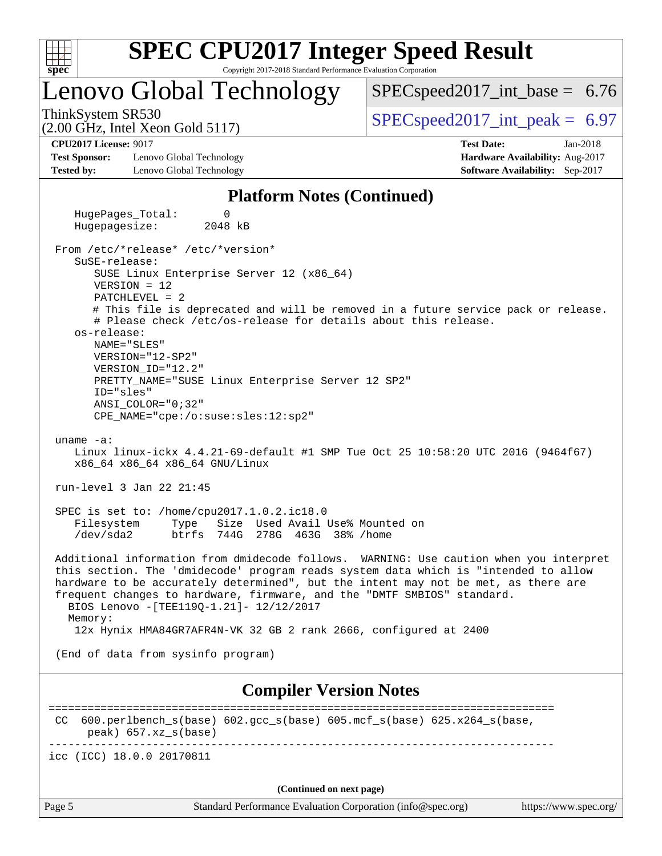

Lenovo Global Technology

 $SPECspeed2017\_int\_base = 6.76$ 

(2.00 GHz, Intel Xeon Gold 5117)

ThinkSystem SR530  $SPEC speed2017$  int peak = 6.97

**[CPU2017 License:](http://www.spec.org/auto/cpu2017/Docs/result-fields.html#CPU2017License)** 9017 **[Test Date:](http://www.spec.org/auto/cpu2017/Docs/result-fields.html#TestDate)** Jan-2018

**[Test Sponsor:](http://www.spec.org/auto/cpu2017/Docs/result-fields.html#TestSponsor)** Lenovo Global Technology **[Hardware Availability:](http://www.spec.org/auto/cpu2017/Docs/result-fields.html#HardwareAvailability)** Aug-2017 **[Tested by:](http://www.spec.org/auto/cpu2017/Docs/result-fields.html#Testedby)** Lenovo Global Technology **[Software Availability:](http://www.spec.org/auto/cpu2017/Docs/result-fields.html#SoftwareAvailability)** Sep-2017

**[Platform Notes \(Continued\)](http://www.spec.org/auto/cpu2017/Docs/result-fields.html#PlatformNotes)**

HugePages Total: 0 Hugepagesize: 2048 kB From /etc/\*release\* /etc/\*version\* SuSE-release: SUSE Linux Enterprise Server 12 (x86\_64) VERSION = 12 PATCHLEVEL = 2 # This file is deprecated and will be removed in a future service pack or release. # Please check /etc/os-release for details about this release. os-release: NAME="SLES" VERSION="12-SP2" VERSION\_ID="12.2" PRETTY\_NAME="SUSE Linux Enterprise Server 12 SP2" ID="sles" ANSI\_COLOR="0;32" CPE\_NAME="cpe:/o:suse:sles:12:sp2" uname -a: Linux linux-ickx 4.4.21-69-default #1 SMP Tue Oct 25 10:58:20 UTC 2016 (9464f67) x86\_64 x86\_64 x86\_64 GNU/Linux run-level 3 Jan 22 21:45 SPEC is set to: /home/cpu2017.1.0.2.ic18.0 Filesystem Type Size Used Avail Use% Mounted on /dev/sda2 btrfs 744G 278G 463G 38% /home Additional information from dmidecode follows. WARNING: Use caution when you interpret this section. The 'dmidecode' program reads system data which is "intended to allow hardware to be accurately determined", but the intent may not be met, as there are frequent changes to hardware, firmware, and the "DMTF SMBIOS" standard. BIOS Lenovo -[TEE119Q-1.21]- 12/12/2017 Memory: 12x Hynix HMA84GR7AFR4N-VK 32 GB 2 rank 2666, configured at 2400 (End of data from sysinfo program)

**[Compiler Version Notes](http://www.spec.org/auto/cpu2017/Docs/result-fields.html#CompilerVersionNotes)**

============================================================================== CC 600.perlbench  $s(base)$  602.gcc  $s(base)$  605.mcf  $s(base)$  625.x264  $s(base)$  peak) 657.xz\_s(base) ------------------------------------------------------------------------------

icc (ICC) 18.0.0 20170811

**(Continued on next page)**

Page 5 Standard Performance Evaluation Corporation [\(info@spec.org\)](mailto:info@spec.org) <https://www.spec.org/>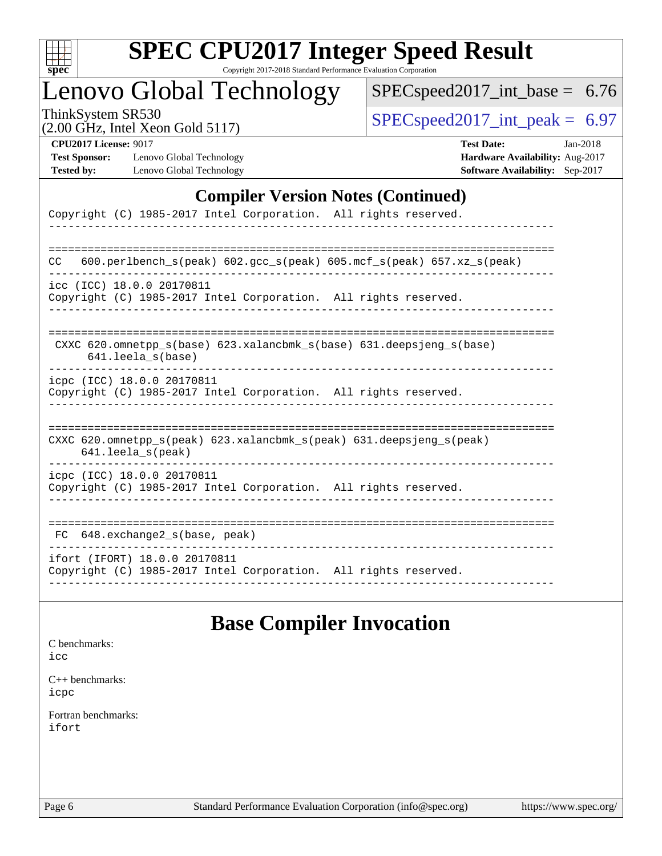| c<br>×, | н | r |  |
|---------|---|---|--|

# Lenovo Global Technology

[SPECspeed2017\\_int\\_base =](http://www.spec.org/auto/cpu2017/Docs/result-fields.html#SPECspeed2017intbase) 6.76

(2.00 GHz, Intel Xeon Gold 5117)

ThinkSystem SR530<br>(2.00 GHz, Intel Year Gold 5117) [SPECspeed2017\\_int\\_peak =](http://www.spec.org/auto/cpu2017/Docs/result-fields.html#SPECspeed2017intpeak) 6.97

| <b>CPU2017 License: 9017</b> |  |
|------------------------------|--|
|                              |  |

**[Test Sponsor:](http://www.spec.org/auto/cpu2017/Docs/result-fields.html#TestSponsor)** Lenovo Global Technology **[Tested by:](http://www.spec.org/auto/cpu2017/Docs/result-fields.html#Testedby)** Lenovo Global Technology

| <b>CPU2017 License: 9017</b> |                            | <b>Test Date:</b>                      | $Jan-2018$ |
|------------------------------|----------------------------|----------------------------------------|------------|
| <b>Test Sponsor:</b>         | Lenovo Global Technology   | <b>Hardware Availability: Aug-2017</b> |            |
| Tested by:                   | Lenovo Global Technology - | <b>Software Availability:</b> Sep-2017 |            |

### **[Compiler Version Notes \(Continued\)](http://www.spec.org/auto/cpu2017/Docs/result-fields.html#CompilerVersionNotes)**

| Copyright (C) 1985-2017 Intel Corporation. All rights reserved.                                                               |
|-------------------------------------------------------------------------------------------------------------------------------|
| 600.perlbench $s$ (peak) 602.gcc $s$ (peak) 605.mcf $s$ (peak) 657.xz $s$ (peak)<br>CC.                                       |
| icc (ICC) 18.0.0 20170811<br>Copyright (C) 1985-2017 Intel Corporation. All rights reserved.                                  |
| CXXC 620.omnetpp $s(base)$ 623.xalancbmk $s(base)$ 631.deepsjeng $s(base)$<br>641.leela s(base)                               |
| icpc (ICC) 18.0.0 20170811<br>Copyright (C) 1985-2017 Intel Corporation. All rights reserved.                                 |
| CXXC $620.\text{omnetpp_s}$ (peak) $623.\text{xalancbmk_s}$ (peak) $631.\text{deepsjeng_s}$ (peak)<br>$641.$ leela $s$ (peak) |
| icpc (ICC) 18.0.0 20170811<br>Copyright (C) 1985-2017 Intel Corporation. All rights reserved.                                 |
| 648.exchange2 s(base, peak)<br>FC.                                                                                            |
| ifort (IFORT) 18.0.0 20170811<br>Copyright (C) 1985-2017 Intel Corporation. All rights reserved.                              |

## **[Base Compiler Invocation](http://www.spec.org/auto/cpu2017/Docs/result-fields.html#BaseCompilerInvocation)**

[C benchmarks](http://www.spec.org/auto/cpu2017/Docs/result-fields.html#Cbenchmarks): [icc](http://www.spec.org/cpu2017/results/res2018q1/cpu2017-20180206-03420.flags.html#user_CCbase_intel_icc_18.0_66fc1ee009f7361af1fbd72ca7dcefbb700085f36577c54f309893dd4ec40d12360134090235512931783d35fd58c0460139e722d5067c5574d8eaf2b3e37e92)

[C++ benchmarks:](http://www.spec.org/auto/cpu2017/Docs/result-fields.html#CXXbenchmarks) [icpc](http://www.spec.org/cpu2017/results/res2018q1/cpu2017-20180206-03420.flags.html#user_CXXbase_intel_icpc_18.0_c510b6838c7f56d33e37e94d029a35b4a7bccf4766a728ee175e80a419847e808290a9b78be685c44ab727ea267ec2f070ec5dc83b407c0218cded6866a35d07)

[Fortran benchmarks](http://www.spec.org/auto/cpu2017/Docs/result-fields.html#Fortranbenchmarks): [ifort](http://www.spec.org/cpu2017/results/res2018q1/cpu2017-20180206-03420.flags.html#user_FCbase_intel_ifort_18.0_8111460550e3ca792625aed983ce982f94888b8b503583aa7ba2b8303487b4d8a21a13e7191a45c5fd58ff318f48f9492884d4413fa793fd88dd292cad7027ca)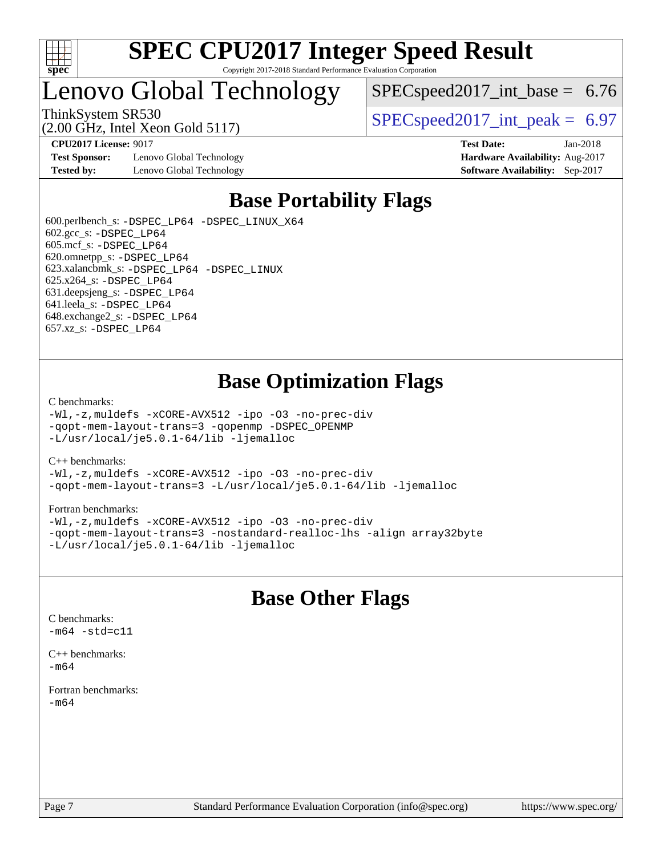

## Lenovo Global Technology

 $SPEC speed2017\_int\_base = 6.76$ 

(2.00 GHz, Intel Xeon Gold 5117)

ThinkSystem SR530  $SPEC speed2017$  int peak = 6.97

**[Test Sponsor:](http://www.spec.org/auto/cpu2017/Docs/result-fields.html#TestSponsor)** Lenovo Global Technology **[Hardware Availability:](http://www.spec.org/auto/cpu2017/Docs/result-fields.html#HardwareAvailability)** Aug-2017 **[Tested by:](http://www.spec.org/auto/cpu2017/Docs/result-fields.html#Testedby)** Lenovo Global Technology **[Software Availability:](http://www.spec.org/auto/cpu2017/Docs/result-fields.html#SoftwareAvailability)** Sep-2017

**[CPU2017 License:](http://www.spec.org/auto/cpu2017/Docs/result-fields.html#CPU2017License)** 9017 **[Test Date:](http://www.spec.org/auto/cpu2017/Docs/result-fields.html#TestDate)** Jan-2018

## **[Base Portability Flags](http://www.spec.org/auto/cpu2017/Docs/result-fields.html#BasePortabilityFlags)**

 600.perlbench\_s: [-DSPEC\\_LP64](http://www.spec.org/cpu2017/results/res2018q1/cpu2017-20180206-03420.flags.html#b600.perlbench_s_basePORTABILITY_DSPEC_LP64) [-DSPEC\\_LINUX\\_X64](http://www.spec.org/cpu2017/results/res2018q1/cpu2017-20180206-03420.flags.html#b600.perlbench_s_baseCPORTABILITY_DSPEC_LINUX_X64) 602.gcc\_s: [-DSPEC\\_LP64](http://www.spec.org/cpu2017/results/res2018q1/cpu2017-20180206-03420.flags.html#suite_basePORTABILITY602_gcc_s_DSPEC_LP64) 605.mcf\_s: [-DSPEC\\_LP64](http://www.spec.org/cpu2017/results/res2018q1/cpu2017-20180206-03420.flags.html#suite_basePORTABILITY605_mcf_s_DSPEC_LP64) 620.omnetpp\_s: [-DSPEC\\_LP64](http://www.spec.org/cpu2017/results/res2018q1/cpu2017-20180206-03420.flags.html#suite_basePORTABILITY620_omnetpp_s_DSPEC_LP64) 623.xalancbmk\_s: [-DSPEC\\_LP64](http://www.spec.org/cpu2017/results/res2018q1/cpu2017-20180206-03420.flags.html#suite_basePORTABILITY623_xalancbmk_s_DSPEC_LP64) [-DSPEC\\_LINUX](http://www.spec.org/cpu2017/results/res2018q1/cpu2017-20180206-03420.flags.html#b623.xalancbmk_s_baseCXXPORTABILITY_DSPEC_LINUX) 625.x264\_s: [-DSPEC\\_LP64](http://www.spec.org/cpu2017/results/res2018q1/cpu2017-20180206-03420.flags.html#suite_basePORTABILITY625_x264_s_DSPEC_LP64) 631.deepsjeng\_s: [-DSPEC\\_LP64](http://www.spec.org/cpu2017/results/res2018q1/cpu2017-20180206-03420.flags.html#suite_basePORTABILITY631_deepsjeng_s_DSPEC_LP64) 641.leela\_s: [-DSPEC\\_LP64](http://www.spec.org/cpu2017/results/res2018q1/cpu2017-20180206-03420.flags.html#suite_basePORTABILITY641_leela_s_DSPEC_LP64) 648.exchange2\_s: [-DSPEC\\_LP64](http://www.spec.org/cpu2017/results/res2018q1/cpu2017-20180206-03420.flags.html#suite_basePORTABILITY648_exchange2_s_DSPEC_LP64) 657.xz\_s: [-DSPEC\\_LP64](http://www.spec.org/cpu2017/results/res2018q1/cpu2017-20180206-03420.flags.html#suite_basePORTABILITY657_xz_s_DSPEC_LP64)

## **[Base Optimization Flags](http://www.spec.org/auto/cpu2017/Docs/result-fields.html#BaseOptimizationFlags)**

### [C benchmarks](http://www.spec.org/auto/cpu2017/Docs/result-fields.html#Cbenchmarks):

[-Wl,-z,muldefs](http://www.spec.org/cpu2017/results/res2018q1/cpu2017-20180206-03420.flags.html#user_CCbase_link_force_multiple1_b4cbdb97b34bdee9ceefcfe54f4c8ea74255f0b02a4b23e853cdb0e18eb4525ac79b5a88067c842dd0ee6996c24547a27a4b99331201badda8798ef8a743f577) [-xCORE-AVX512](http://www.spec.org/cpu2017/results/res2018q1/cpu2017-20180206-03420.flags.html#user_CCbase_f-xCORE-AVX512) [-ipo](http://www.spec.org/cpu2017/results/res2018q1/cpu2017-20180206-03420.flags.html#user_CCbase_f-ipo) [-O3](http://www.spec.org/cpu2017/results/res2018q1/cpu2017-20180206-03420.flags.html#user_CCbase_f-O3) [-no-prec-div](http://www.spec.org/cpu2017/results/res2018q1/cpu2017-20180206-03420.flags.html#user_CCbase_f-no-prec-div) [-qopt-mem-layout-trans=3](http://www.spec.org/cpu2017/results/res2018q1/cpu2017-20180206-03420.flags.html#user_CCbase_f-qopt-mem-layout-trans_de80db37974c74b1f0e20d883f0b675c88c3b01e9d123adea9b28688d64333345fb62bc4a798493513fdb68f60282f9a726aa07f478b2f7113531aecce732043) [-qopenmp](http://www.spec.org/cpu2017/results/res2018q1/cpu2017-20180206-03420.flags.html#user_CCbase_qopenmp_16be0c44f24f464004c6784a7acb94aca937f053568ce72f94b139a11c7c168634a55f6653758ddd83bcf7b8463e8028bb0b48b77bcddc6b78d5d95bb1df2967) [-DSPEC\\_OPENMP](http://www.spec.org/cpu2017/results/res2018q1/cpu2017-20180206-03420.flags.html#suite_CCbase_DSPEC_OPENMP) [-L/usr/local/je5.0.1-64/lib](http://www.spec.org/cpu2017/results/res2018q1/cpu2017-20180206-03420.flags.html#user_CCbase_jemalloc_link_path64_4b10a636b7bce113509b17f3bd0d6226c5fb2346b9178c2d0232c14f04ab830f976640479e5c33dc2bcbbdad86ecfb6634cbbd4418746f06f368b512fced5394) [-ljemalloc](http://www.spec.org/cpu2017/results/res2018q1/cpu2017-20180206-03420.flags.html#user_CCbase_jemalloc_link_lib_d1249b907c500fa1c0672f44f562e3d0f79738ae9e3c4a9c376d49f265a04b9c99b167ecedbf6711b3085be911c67ff61f150a17b3472be731631ba4d0471706)

### [C++ benchmarks:](http://www.spec.org/auto/cpu2017/Docs/result-fields.html#CXXbenchmarks)

[-Wl,-z,muldefs](http://www.spec.org/cpu2017/results/res2018q1/cpu2017-20180206-03420.flags.html#user_CXXbase_link_force_multiple1_b4cbdb97b34bdee9ceefcfe54f4c8ea74255f0b02a4b23e853cdb0e18eb4525ac79b5a88067c842dd0ee6996c24547a27a4b99331201badda8798ef8a743f577) [-xCORE-AVX512](http://www.spec.org/cpu2017/results/res2018q1/cpu2017-20180206-03420.flags.html#user_CXXbase_f-xCORE-AVX512) [-ipo](http://www.spec.org/cpu2017/results/res2018q1/cpu2017-20180206-03420.flags.html#user_CXXbase_f-ipo) [-O3](http://www.spec.org/cpu2017/results/res2018q1/cpu2017-20180206-03420.flags.html#user_CXXbase_f-O3) [-no-prec-div](http://www.spec.org/cpu2017/results/res2018q1/cpu2017-20180206-03420.flags.html#user_CXXbase_f-no-prec-div) [-qopt-mem-layout-trans=3](http://www.spec.org/cpu2017/results/res2018q1/cpu2017-20180206-03420.flags.html#user_CXXbase_f-qopt-mem-layout-trans_de80db37974c74b1f0e20d883f0b675c88c3b01e9d123adea9b28688d64333345fb62bc4a798493513fdb68f60282f9a726aa07f478b2f7113531aecce732043) [-L/usr/local/je5.0.1-64/lib](http://www.spec.org/cpu2017/results/res2018q1/cpu2017-20180206-03420.flags.html#user_CXXbase_jemalloc_link_path64_4b10a636b7bce113509b17f3bd0d6226c5fb2346b9178c2d0232c14f04ab830f976640479e5c33dc2bcbbdad86ecfb6634cbbd4418746f06f368b512fced5394) [-ljemalloc](http://www.spec.org/cpu2017/results/res2018q1/cpu2017-20180206-03420.flags.html#user_CXXbase_jemalloc_link_lib_d1249b907c500fa1c0672f44f562e3d0f79738ae9e3c4a9c376d49f265a04b9c99b167ecedbf6711b3085be911c67ff61f150a17b3472be731631ba4d0471706)

### [Fortran benchmarks](http://www.spec.org/auto/cpu2017/Docs/result-fields.html#Fortranbenchmarks):

[-Wl,-z,muldefs](http://www.spec.org/cpu2017/results/res2018q1/cpu2017-20180206-03420.flags.html#user_FCbase_link_force_multiple1_b4cbdb97b34bdee9ceefcfe54f4c8ea74255f0b02a4b23e853cdb0e18eb4525ac79b5a88067c842dd0ee6996c24547a27a4b99331201badda8798ef8a743f577) [-xCORE-AVX512](http://www.spec.org/cpu2017/results/res2018q1/cpu2017-20180206-03420.flags.html#user_FCbase_f-xCORE-AVX512) [-ipo](http://www.spec.org/cpu2017/results/res2018q1/cpu2017-20180206-03420.flags.html#user_FCbase_f-ipo) [-O3](http://www.spec.org/cpu2017/results/res2018q1/cpu2017-20180206-03420.flags.html#user_FCbase_f-O3) [-no-prec-div](http://www.spec.org/cpu2017/results/res2018q1/cpu2017-20180206-03420.flags.html#user_FCbase_f-no-prec-div) [-qopt-mem-layout-trans=3](http://www.spec.org/cpu2017/results/res2018q1/cpu2017-20180206-03420.flags.html#user_FCbase_f-qopt-mem-layout-trans_de80db37974c74b1f0e20d883f0b675c88c3b01e9d123adea9b28688d64333345fb62bc4a798493513fdb68f60282f9a726aa07f478b2f7113531aecce732043) [-nostandard-realloc-lhs](http://www.spec.org/cpu2017/results/res2018q1/cpu2017-20180206-03420.flags.html#user_FCbase_f_2003_std_realloc_82b4557e90729c0f113870c07e44d33d6f5a304b4f63d4c15d2d0f1fab99f5daaed73bdb9275d9ae411527f28b936061aa8b9c8f2d63842963b95c9dd6426b8a) [-align array32byte](http://www.spec.org/cpu2017/results/res2018q1/cpu2017-20180206-03420.flags.html#user_FCbase_align_array32byte_b982fe038af199962ba9a80c053b8342c548c85b40b8e86eb3cc33dee0d7986a4af373ac2d51c3f7cf710a18d62fdce2948f201cd044323541f22fc0fffc51b6) [-L/usr/local/je5.0.1-64/lib](http://www.spec.org/cpu2017/results/res2018q1/cpu2017-20180206-03420.flags.html#user_FCbase_jemalloc_link_path64_4b10a636b7bce113509b17f3bd0d6226c5fb2346b9178c2d0232c14f04ab830f976640479e5c33dc2bcbbdad86ecfb6634cbbd4418746f06f368b512fced5394) [-ljemalloc](http://www.spec.org/cpu2017/results/res2018q1/cpu2017-20180206-03420.flags.html#user_FCbase_jemalloc_link_lib_d1249b907c500fa1c0672f44f562e3d0f79738ae9e3c4a9c376d49f265a04b9c99b167ecedbf6711b3085be911c67ff61f150a17b3472be731631ba4d0471706)

## **[Base Other Flags](http://www.spec.org/auto/cpu2017/Docs/result-fields.html#BaseOtherFlags)**

[C benchmarks](http://www.spec.org/auto/cpu2017/Docs/result-fields.html#Cbenchmarks):  $-m64 - std= c11$  $-m64 - std= c11$ [C++ benchmarks:](http://www.spec.org/auto/cpu2017/Docs/result-fields.html#CXXbenchmarks)

[-m64](http://www.spec.org/cpu2017/results/res2018q1/cpu2017-20180206-03420.flags.html#user_CXXbase_intel_intel64_18.0_af43caccfc8ded86e7699f2159af6efc7655f51387b94da716254467f3c01020a5059329e2569e4053f409e7c9202a7efc638f7a6d1ffb3f52dea4a3e31d82ab)

[Fortran benchmarks](http://www.spec.org/auto/cpu2017/Docs/result-fields.html#Fortranbenchmarks): [-m64](http://www.spec.org/cpu2017/results/res2018q1/cpu2017-20180206-03420.flags.html#user_FCbase_intel_intel64_18.0_af43caccfc8ded86e7699f2159af6efc7655f51387b94da716254467f3c01020a5059329e2569e4053f409e7c9202a7efc638f7a6d1ffb3f52dea4a3e31d82ab)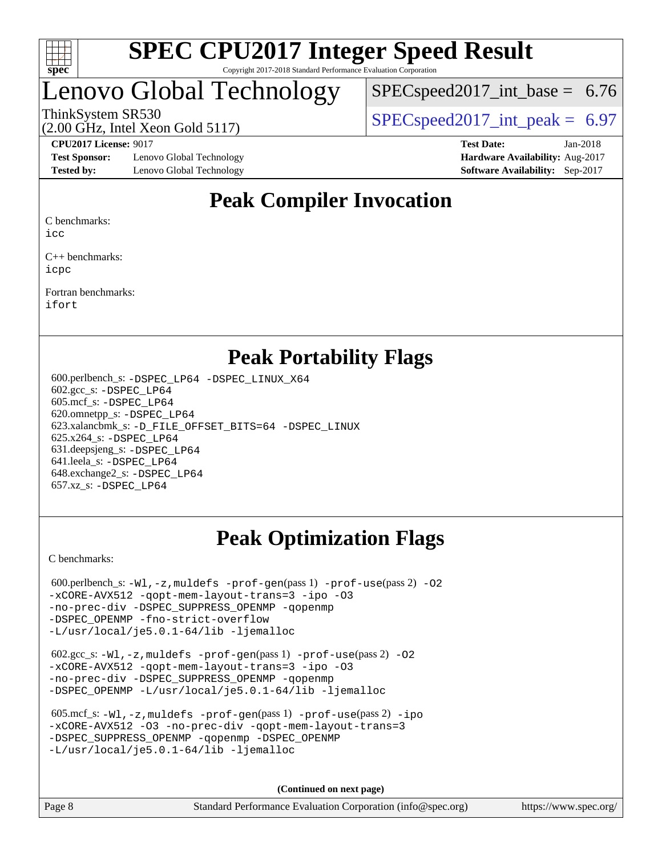

## enovo Global Technology

 $SPECspeed2017\_int\_base = 6.76$ 

(2.00 GHz, Intel Xeon Gold 5117)

ThinkSystem SR530  $SPEC speed2017$  int peak = 6.97

**[Test Sponsor:](http://www.spec.org/auto/cpu2017/Docs/result-fields.html#TestSponsor)** Lenovo Global Technology **[Hardware Availability:](http://www.spec.org/auto/cpu2017/Docs/result-fields.html#HardwareAvailability)** Aug-2017 **[Tested by:](http://www.spec.org/auto/cpu2017/Docs/result-fields.html#Testedby)** Lenovo Global Technology **[Software Availability:](http://www.spec.org/auto/cpu2017/Docs/result-fields.html#SoftwareAvailability)** Sep-2017

**[CPU2017 License:](http://www.spec.org/auto/cpu2017/Docs/result-fields.html#CPU2017License)** 9017 **[Test Date:](http://www.spec.org/auto/cpu2017/Docs/result-fields.html#TestDate)** Jan-2018

## **[Peak Compiler Invocation](http://www.spec.org/auto/cpu2017/Docs/result-fields.html#PeakCompilerInvocation)**

[C benchmarks](http://www.spec.org/auto/cpu2017/Docs/result-fields.html#Cbenchmarks):

[icc](http://www.spec.org/cpu2017/results/res2018q1/cpu2017-20180206-03420.flags.html#user_CCpeak_intel_icc_18.0_66fc1ee009f7361af1fbd72ca7dcefbb700085f36577c54f309893dd4ec40d12360134090235512931783d35fd58c0460139e722d5067c5574d8eaf2b3e37e92)

[C++ benchmarks:](http://www.spec.org/auto/cpu2017/Docs/result-fields.html#CXXbenchmarks) [icpc](http://www.spec.org/cpu2017/results/res2018q1/cpu2017-20180206-03420.flags.html#user_CXXpeak_intel_icpc_18.0_c510b6838c7f56d33e37e94d029a35b4a7bccf4766a728ee175e80a419847e808290a9b78be685c44ab727ea267ec2f070ec5dc83b407c0218cded6866a35d07)

[Fortran benchmarks](http://www.spec.org/auto/cpu2017/Docs/result-fields.html#Fortranbenchmarks): [ifort](http://www.spec.org/cpu2017/results/res2018q1/cpu2017-20180206-03420.flags.html#user_FCpeak_intel_ifort_18.0_8111460550e3ca792625aed983ce982f94888b8b503583aa7ba2b8303487b4d8a21a13e7191a45c5fd58ff318f48f9492884d4413fa793fd88dd292cad7027ca)

## **[Peak Portability Flags](http://www.spec.org/auto/cpu2017/Docs/result-fields.html#PeakPortabilityFlags)**

 600.perlbench\_s: [-DSPEC\\_LP64](http://www.spec.org/cpu2017/results/res2018q1/cpu2017-20180206-03420.flags.html#b600.perlbench_s_peakPORTABILITY_DSPEC_LP64) [-DSPEC\\_LINUX\\_X64](http://www.spec.org/cpu2017/results/res2018q1/cpu2017-20180206-03420.flags.html#b600.perlbench_s_peakCPORTABILITY_DSPEC_LINUX_X64) 602.gcc\_s: [-DSPEC\\_LP64](http://www.spec.org/cpu2017/results/res2018q1/cpu2017-20180206-03420.flags.html#suite_peakPORTABILITY602_gcc_s_DSPEC_LP64) 605.mcf\_s: [-DSPEC\\_LP64](http://www.spec.org/cpu2017/results/res2018q1/cpu2017-20180206-03420.flags.html#suite_peakPORTABILITY605_mcf_s_DSPEC_LP64) 620.omnetpp\_s: [-DSPEC\\_LP64](http://www.spec.org/cpu2017/results/res2018q1/cpu2017-20180206-03420.flags.html#suite_peakPORTABILITY620_omnetpp_s_DSPEC_LP64) 623.xalancbmk\_s: [-D\\_FILE\\_OFFSET\\_BITS=64](http://www.spec.org/cpu2017/results/res2018q1/cpu2017-20180206-03420.flags.html#user_peakPORTABILITY623_xalancbmk_s_file_offset_bits_64_5ae949a99b284ddf4e95728d47cb0843d81b2eb0e18bdfe74bbf0f61d0b064f4bda2f10ea5eb90e1dcab0e84dbc592acfc5018bc955c18609f94ddb8d550002c) [-DSPEC\\_LINUX](http://www.spec.org/cpu2017/results/res2018q1/cpu2017-20180206-03420.flags.html#b623.xalancbmk_s_peakCXXPORTABILITY_DSPEC_LINUX) 625.x264\_s: [-DSPEC\\_LP64](http://www.spec.org/cpu2017/results/res2018q1/cpu2017-20180206-03420.flags.html#suite_peakPORTABILITY625_x264_s_DSPEC_LP64) 631.deepsjeng\_s: [-DSPEC\\_LP64](http://www.spec.org/cpu2017/results/res2018q1/cpu2017-20180206-03420.flags.html#suite_peakPORTABILITY631_deepsjeng_s_DSPEC_LP64) 641.leela\_s: [-DSPEC\\_LP64](http://www.spec.org/cpu2017/results/res2018q1/cpu2017-20180206-03420.flags.html#suite_peakPORTABILITY641_leela_s_DSPEC_LP64) 648.exchange2\_s: [-DSPEC\\_LP64](http://www.spec.org/cpu2017/results/res2018q1/cpu2017-20180206-03420.flags.html#suite_peakPORTABILITY648_exchange2_s_DSPEC_LP64) 657.xz\_s: [-DSPEC\\_LP64](http://www.spec.org/cpu2017/results/res2018q1/cpu2017-20180206-03420.flags.html#suite_peakPORTABILITY657_xz_s_DSPEC_LP64)

## **[Peak Optimization Flags](http://www.spec.org/auto/cpu2017/Docs/result-fields.html#PeakOptimizationFlags)**

[C benchmarks](http://www.spec.org/auto/cpu2017/Docs/result-fields.html#Cbenchmarks):

600.perlbench\_s:  $-W1$ , -z, muldefs [-prof-gen](http://www.spec.org/cpu2017/results/res2018q1/cpu2017-20180206-03420.flags.html#user_peakPASS1_CFLAGSPASS1_LDFLAGS600_perlbench_s_prof_gen_5aa4926d6013ddb2a31985c654b3eb18169fc0c6952a63635c234f711e6e63dd76e94ad52365559451ec499a2cdb89e4dc58ba4c67ef54ca681ffbe1461d6b36)(pass 1) [-prof-use](http://www.spec.org/cpu2017/results/res2018q1/cpu2017-20180206-03420.flags.html#user_peakPASS2_CFLAGSPASS2_LDFLAGS600_perlbench_s_prof_use_1a21ceae95f36a2b53c25747139a6c16ca95bd9def2a207b4f0849963b97e94f5260e30a0c64f4bb623698870e679ca08317ef8150905d41bd88c6f78df73f19)(pass 2) -02 [-xCORE-AVX512](http://www.spec.org/cpu2017/results/res2018q1/cpu2017-20180206-03420.flags.html#user_peakPASS2_COPTIMIZE600_perlbench_s_f-xCORE-AVX512) [-qopt-mem-layout-trans=3](http://www.spec.org/cpu2017/results/res2018q1/cpu2017-20180206-03420.flags.html#user_peakPASS1_COPTIMIZEPASS2_COPTIMIZE600_perlbench_s_f-qopt-mem-layout-trans_de80db37974c74b1f0e20d883f0b675c88c3b01e9d123adea9b28688d64333345fb62bc4a798493513fdb68f60282f9a726aa07f478b2f7113531aecce732043) [-ipo](http://www.spec.org/cpu2017/results/res2018q1/cpu2017-20180206-03420.flags.html#user_peakPASS2_COPTIMIZE600_perlbench_s_f-ipo) [-O3](http://www.spec.org/cpu2017/results/res2018q1/cpu2017-20180206-03420.flags.html#user_peakPASS2_COPTIMIZE600_perlbench_s_f-O3) [-no-prec-div](http://www.spec.org/cpu2017/results/res2018q1/cpu2017-20180206-03420.flags.html#user_peakPASS2_COPTIMIZE600_perlbench_s_f-no-prec-div) [-DSPEC\\_SUPPRESS\\_OPENMP](http://www.spec.org/cpu2017/results/res2018q1/cpu2017-20180206-03420.flags.html#suite_peakPASS1_COPTIMIZE600_perlbench_s_DSPEC_SUPPRESS_OPENMP) [-qopenmp](http://www.spec.org/cpu2017/results/res2018q1/cpu2017-20180206-03420.flags.html#user_peakPASS2_COPTIMIZE600_perlbench_s_qopenmp_16be0c44f24f464004c6784a7acb94aca937f053568ce72f94b139a11c7c168634a55f6653758ddd83bcf7b8463e8028bb0b48b77bcddc6b78d5d95bb1df2967) [-DSPEC\\_OPENMP](http://www.spec.org/cpu2017/results/res2018q1/cpu2017-20180206-03420.flags.html#suite_peakPASS2_COPTIMIZE600_perlbench_s_DSPEC_OPENMP) [-fno-strict-overflow](http://www.spec.org/cpu2017/results/res2018q1/cpu2017-20180206-03420.flags.html#user_peakEXTRA_OPTIMIZE600_perlbench_s_f-fno-strict-overflow) [-L/usr/local/je5.0.1-64/lib](http://www.spec.org/cpu2017/results/res2018q1/cpu2017-20180206-03420.flags.html#user_peakEXTRA_LIBS600_perlbench_s_jemalloc_link_path64_4b10a636b7bce113509b17f3bd0d6226c5fb2346b9178c2d0232c14f04ab830f976640479e5c33dc2bcbbdad86ecfb6634cbbd4418746f06f368b512fced5394) [-ljemalloc](http://www.spec.org/cpu2017/results/res2018q1/cpu2017-20180206-03420.flags.html#user_peakEXTRA_LIBS600_perlbench_s_jemalloc_link_lib_d1249b907c500fa1c0672f44f562e3d0f79738ae9e3c4a9c376d49f265a04b9c99b167ecedbf6711b3085be911c67ff61f150a17b3472be731631ba4d0471706)

 602.gcc\_s: [-Wl,-z,muldefs](http://www.spec.org/cpu2017/results/res2018q1/cpu2017-20180206-03420.flags.html#user_peakEXTRA_LDFLAGS602_gcc_s_link_force_multiple1_b4cbdb97b34bdee9ceefcfe54f4c8ea74255f0b02a4b23e853cdb0e18eb4525ac79b5a88067c842dd0ee6996c24547a27a4b99331201badda8798ef8a743f577) [-prof-gen](http://www.spec.org/cpu2017/results/res2018q1/cpu2017-20180206-03420.flags.html#user_peakPASS1_CFLAGSPASS1_LDFLAGS602_gcc_s_prof_gen_5aa4926d6013ddb2a31985c654b3eb18169fc0c6952a63635c234f711e6e63dd76e94ad52365559451ec499a2cdb89e4dc58ba4c67ef54ca681ffbe1461d6b36)(pass 1) [-prof-use](http://www.spec.org/cpu2017/results/res2018q1/cpu2017-20180206-03420.flags.html#user_peakPASS2_CFLAGSPASS2_LDFLAGS602_gcc_s_prof_use_1a21ceae95f36a2b53c25747139a6c16ca95bd9def2a207b4f0849963b97e94f5260e30a0c64f4bb623698870e679ca08317ef8150905d41bd88c6f78df73f19)(pass 2) [-O2](http://www.spec.org/cpu2017/results/res2018q1/cpu2017-20180206-03420.flags.html#user_peakPASS1_COPTIMIZE602_gcc_s_f-O2) [-xCORE-AVX512](http://www.spec.org/cpu2017/results/res2018q1/cpu2017-20180206-03420.flags.html#user_peakPASS2_COPTIMIZE602_gcc_s_f-xCORE-AVX512) [-qopt-mem-layout-trans=3](http://www.spec.org/cpu2017/results/res2018q1/cpu2017-20180206-03420.flags.html#user_peakPASS1_COPTIMIZEPASS2_COPTIMIZE602_gcc_s_f-qopt-mem-layout-trans_de80db37974c74b1f0e20d883f0b675c88c3b01e9d123adea9b28688d64333345fb62bc4a798493513fdb68f60282f9a726aa07f478b2f7113531aecce732043) [-ipo](http://www.spec.org/cpu2017/results/res2018q1/cpu2017-20180206-03420.flags.html#user_peakPASS2_COPTIMIZE602_gcc_s_f-ipo) [-O3](http://www.spec.org/cpu2017/results/res2018q1/cpu2017-20180206-03420.flags.html#user_peakPASS2_COPTIMIZE602_gcc_s_f-O3) [-no-prec-div](http://www.spec.org/cpu2017/results/res2018q1/cpu2017-20180206-03420.flags.html#user_peakPASS2_COPTIMIZE602_gcc_s_f-no-prec-div) [-DSPEC\\_SUPPRESS\\_OPENMP](http://www.spec.org/cpu2017/results/res2018q1/cpu2017-20180206-03420.flags.html#suite_peakPASS1_COPTIMIZE602_gcc_s_DSPEC_SUPPRESS_OPENMP) [-qopenmp](http://www.spec.org/cpu2017/results/res2018q1/cpu2017-20180206-03420.flags.html#user_peakPASS2_COPTIMIZE602_gcc_s_qopenmp_16be0c44f24f464004c6784a7acb94aca937f053568ce72f94b139a11c7c168634a55f6653758ddd83bcf7b8463e8028bb0b48b77bcddc6b78d5d95bb1df2967) [-DSPEC\\_OPENMP](http://www.spec.org/cpu2017/results/res2018q1/cpu2017-20180206-03420.flags.html#suite_peakPASS2_COPTIMIZE602_gcc_s_DSPEC_OPENMP) [-L/usr/local/je5.0.1-64/lib](http://www.spec.org/cpu2017/results/res2018q1/cpu2017-20180206-03420.flags.html#user_peakEXTRA_LIBS602_gcc_s_jemalloc_link_path64_4b10a636b7bce113509b17f3bd0d6226c5fb2346b9178c2d0232c14f04ab830f976640479e5c33dc2bcbbdad86ecfb6634cbbd4418746f06f368b512fced5394) [-ljemalloc](http://www.spec.org/cpu2017/results/res2018q1/cpu2017-20180206-03420.flags.html#user_peakEXTRA_LIBS602_gcc_s_jemalloc_link_lib_d1249b907c500fa1c0672f44f562e3d0f79738ae9e3c4a9c376d49f265a04b9c99b167ecedbf6711b3085be911c67ff61f150a17b3472be731631ba4d0471706)

| $605.\text{mcf}\text{ s}: -W1, -z$ , muldefs $-prof-qen(pass1)$ $-prof-use(pass2)$ -ipo |
|-----------------------------------------------------------------------------------------|
| -xCORE-AVX512 -03 -no-prec-div -gopt-mem-layout-trans=3                                 |
| -DSPEC SUPPRESS OPENMP - aopenmp - DSPEC OPENMP                                         |
| $-L/usr/local/ie5.0.1-64/lib -liemalloc$                                                |

**(Continued on next page)**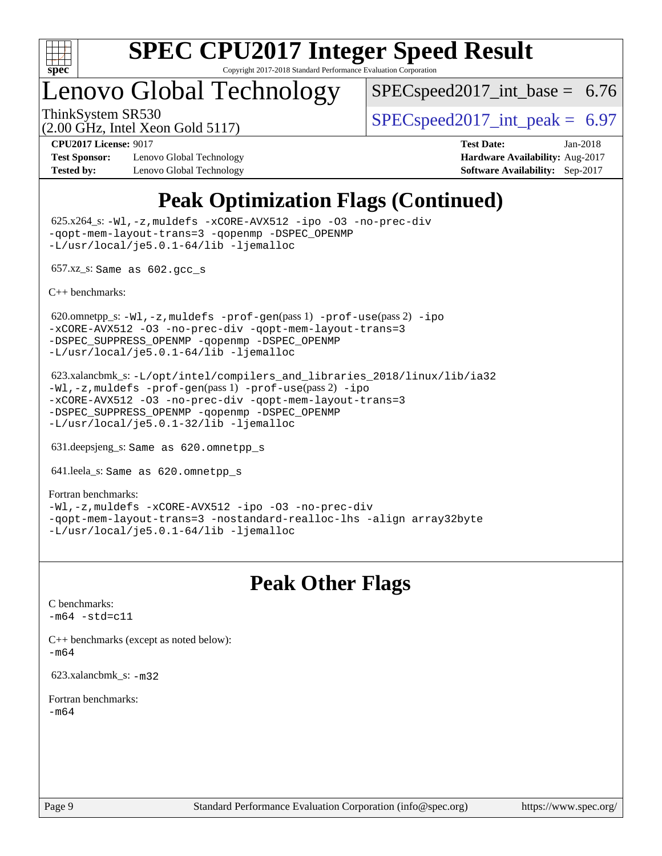

## Lenovo Global Technology

 $SPEC speed2017\_int\_base = 6.76$ 

(2.00 GHz, Intel Xeon Gold 5117)

ThinkSystem SR530  $SPEC speed2017$  int peak = 6.97

**[Test Sponsor:](http://www.spec.org/auto/cpu2017/Docs/result-fields.html#TestSponsor)** Lenovo Global Technology **[Hardware Availability:](http://www.spec.org/auto/cpu2017/Docs/result-fields.html#HardwareAvailability)** Aug-2017 **[Tested by:](http://www.spec.org/auto/cpu2017/Docs/result-fields.html#Testedby)** Lenovo Global Technology **[Software Availability:](http://www.spec.org/auto/cpu2017/Docs/result-fields.html#SoftwareAvailability)** Sep-2017

**[CPU2017 License:](http://www.spec.org/auto/cpu2017/Docs/result-fields.html#CPU2017License)** 9017 **[Test Date:](http://www.spec.org/auto/cpu2017/Docs/result-fields.html#TestDate)** Jan-2018

## **[Peak Optimization Flags \(Continued\)](http://www.spec.org/auto/cpu2017/Docs/result-fields.html#PeakOptimizationFlags)**

 625.x264\_s: [-Wl,-z,muldefs](http://www.spec.org/cpu2017/results/res2018q1/cpu2017-20180206-03420.flags.html#user_peakEXTRA_LDFLAGS625_x264_s_link_force_multiple1_b4cbdb97b34bdee9ceefcfe54f4c8ea74255f0b02a4b23e853cdb0e18eb4525ac79b5a88067c842dd0ee6996c24547a27a4b99331201badda8798ef8a743f577) [-xCORE-AVX512](http://www.spec.org/cpu2017/results/res2018q1/cpu2017-20180206-03420.flags.html#user_peakCOPTIMIZE625_x264_s_f-xCORE-AVX512) [-ipo](http://www.spec.org/cpu2017/results/res2018q1/cpu2017-20180206-03420.flags.html#user_peakCOPTIMIZE625_x264_s_f-ipo) [-O3](http://www.spec.org/cpu2017/results/res2018q1/cpu2017-20180206-03420.flags.html#user_peakCOPTIMIZE625_x264_s_f-O3) [-no-prec-div](http://www.spec.org/cpu2017/results/res2018q1/cpu2017-20180206-03420.flags.html#user_peakCOPTIMIZE625_x264_s_f-no-prec-div) [-qopt-mem-layout-trans=3](http://www.spec.org/cpu2017/results/res2018q1/cpu2017-20180206-03420.flags.html#user_peakCOPTIMIZE625_x264_s_f-qopt-mem-layout-trans_de80db37974c74b1f0e20d883f0b675c88c3b01e9d123adea9b28688d64333345fb62bc4a798493513fdb68f60282f9a726aa07f478b2f7113531aecce732043) [-qopenmp](http://www.spec.org/cpu2017/results/res2018q1/cpu2017-20180206-03420.flags.html#user_peakCOPTIMIZE625_x264_s_qopenmp_16be0c44f24f464004c6784a7acb94aca937f053568ce72f94b139a11c7c168634a55f6653758ddd83bcf7b8463e8028bb0b48b77bcddc6b78d5d95bb1df2967) [-DSPEC\\_OPENMP](http://www.spec.org/cpu2017/results/res2018q1/cpu2017-20180206-03420.flags.html#suite_peakCOPTIMIZE625_x264_s_DSPEC_OPENMP) [-L/usr/local/je5.0.1-64/lib](http://www.spec.org/cpu2017/results/res2018q1/cpu2017-20180206-03420.flags.html#user_peakEXTRA_LIBS625_x264_s_jemalloc_link_path64_4b10a636b7bce113509b17f3bd0d6226c5fb2346b9178c2d0232c14f04ab830f976640479e5c33dc2bcbbdad86ecfb6634cbbd4418746f06f368b512fced5394) [-ljemalloc](http://www.spec.org/cpu2017/results/res2018q1/cpu2017-20180206-03420.flags.html#user_peakEXTRA_LIBS625_x264_s_jemalloc_link_lib_d1249b907c500fa1c0672f44f562e3d0f79738ae9e3c4a9c376d49f265a04b9c99b167ecedbf6711b3085be911c67ff61f150a17b3472be731631ba4d0471706)

657.xz\_s: Same as 602.gcc\_s

[C++ benchmarks:](http://www.spec.org/auto/cpu2017/Docs/result-fields.html#CXXbenchmarks)

620.omnetpp\_s: $-W1$ ,-z,muldefs -prof-qen(pass 1) [-prof-use](http://www.spec.org/cpu2017/results/res2018q1/cpu2017-20180206-03420.flags.html#user_peakPASS2_CXXFLAGSPASS2_LDFLAGS620_omnetpp_s_prof_use_1a21ceae95f36a2b53c25747139a6c16ca95bd9def2a207b4f0849963b97e94f5260e30a0c64f4bb623698870e679ca08317ef8150905d41bd88c6f78df73f19)(pass 2) [-ipo](http://www.spec.org/cpu2017/results/res2018q1/cpu2017-20180206-03420.flags.html#user_peakPASS1_CXXOPTIMIZEPASS2_CXXOPTIMIZE620_omnetpp_s_f-ipo) [-xCORE-AVX512](http://www.spec.org/cpu2017/results/res2018q1/cpu2017-20180206-03420.flags.html#user_peakPASS2_CXXOPTIMIZE620_omnetpp_s_f-xCORE-AVX512) [-O3](http://www.spec.org/cpu2017/results/res2018q1/cpu2017-20180206-03420.flags.html#user_peakPASS1_CXXOPTIMIZEPASS2_CXXOPTIMIZE620_omnetpp_s_f-O3) [-no-prec-div](http://www.spec.org/cpu2017/results/res2018q1/cpu2017-20180206-03420.flags.html#user_peakPASS1_CXXOPTIMIZEPASS2_CXXOPTIMIZE620_omnetpp_s_f-no-prec-div) [-qopt-mem-layout-trans=3](http://www.spec.org/cpu2017/results/res2018q1/cpu2017-20180206-03420.flags.html#user_peakPASS1_CXXOPTIMIZEPASS2_CXXOPTIMIZE620_omnetpp_s_f-qopt-mem-layout-trans_de80db37974c74b1f0e20d883f0b675c88c3b01e9d123adea9b28688d64333345fb62bc4a798493513fdb68f60282f9a726aa07f478b2f7113531aecce732043) [-DSPEC\\_SUPPRESS\\_OPENMP](http://www.spec.org/cpu2017/results/res2018q1/cpu2017-20180206-03420.flags.html#suite_peakPASS1_CXXOPTIMIZE620_omnetpp_s_DSPEC_SUPPRESS_OPENMP) [-qopenmp](http://www.spec.org/cpu2017/results/res2018q1/cpu2017-20180206-03420.flags.html#user_peakPASS2_CXXOPTIMIZE620_omnetpp_s_qopenmp_16be0c44f24f464004c6784a7acb94aca937f053568ce72f94b139a11c7c168634a55f6653758ddd83bcf7b8463e8028bb0b48b77bcddc6b78d5d95bb1df2967) [-DSPEC\\_OPENMP](http://www.spec.org/cpu2017/results/res2018q1/cpu2017-20180206-03420.flags.html#suite_peakPASS2_CXXOPTIMIZE620_omnetpp_s_DSPEC_OPENMP) [-L/usr/local/je5.0.1-64/lib](http://www.spec.org/cpu2017/results/res2018q1/cpu2017-20180206-03420.flags.html#user_peakEXTRA_LIBS620_omnetpp_s_jemalloc_link_path64_4b10a636b7bce113509b17f3bd0d6226c5fb2346b9178c2d0232c14f04ab830f976640479e5c33dc2bcbbdad86ecfb6634cbbd4418746f06f368b512fced5394) [-ljemalloc](http://www.spec.org/cpu2017/results/res2018q1/cpu2017-20180206-03420.flags.html#user_peakEXTRA_LIBS620_omnetpp_s_jemalloc_link_lib_d1249b907c500fa1c0672f44f562e3d0f79738ae9e3c4a9c376d49f265a04b9c99b167ecedbf6711b3085be911c67ff61f150a17b3472be731631ba4d0471706)

 623.xalancbmk\_s: [-L/opt/intel/compilers\\_and\\_libraries\\_2018/linux/lib/ia32](http://www.spec.org/cpu2017/results/res2018q1/cpu2017-20180206-03420.flags.html#user_peakCXXLD623_xalancbmk_s_Enable-32bit-runtime_af243bdb1d79e4c7a4f720bf8275e627de2ecd461de63307bc14cef0633fde3cd7bb2facb32dcc8be9566045fb55d40ce2b72b725f73827aa7833441b71b9343) [-Wl,-z,muldefs](http://www.spec.org/cpu2017/results/res2018q1/cpu2017-20180206-03420.flags.html#user_peakEXTRA_LDFLAGS623_xalancbmk_s_link_force_multiple1_b4cbdb97b34bdee9ceefcfe54f4c8ea74255f0b02a4b23e853cdb0e18eb4525ac79b5a88067c842dd0ee6996c24547a27a4b99331201badda8798ef8a743f577) [-prof-gen](http://www.spec.org/cpu2017/results/res2018q1/cpu2017-20180206-03420.flags.html#user_peakPASS1_CXXFLAGSPASS1_LDFLAGS623_xalancbmk_s_prof_gen_5aa4926d6013ddb2a31985c654b3eb18169fc0c6952a63635c234f711e6e63dd76e94ad52365559451ec499a2cdb89e4dc58ba4c67ef54ca681ffbe1461d6b36)(pass 1) [-prof-use](http://www.spec.org/cpu2017/results/res2018q1/cpu2017-20180206-03420.flags.html#user_peakPASS2_CXXFLAGSPASS2_LDFLAGS623_xalancbmk_s_prof_use_1a21ceae95f36a2b53c25747139a6c16ca95bd9def2a207b4f0849963b97e94f5260e30a0c64f4bb623698870e679ca08317ef8150905d41bd88c6f78df73f19)(pass 2) [-ipo](http://www.spec.org/cpu2017/results/res2018q1/cpu2017-20180206-03420.flags.html#user_peakPASS1_CXXOPTIMIZEPASS2_CXXOPTIMIZE623_xalancbmk_s_f-ipo) [-xCORE-AVX512](http://www.spec.org/cpu2017/results/res2018q1/cpu2017-20180206-03420.flags.html#user_peakPASS2_CXXOPTIMIZE623_xalancbmk_s_f-xCORE-AVX512) [-O3](http://www.spec.org/cpu2017/results/res2018q1/cpu2017-20180206-03420.flags.html#user_peakPASS1_CXXOPTIMIZEPASS2_CXXOPTIMIZE623_xalancbmk_s_f-O3) [-no-prec-div](http://www.spec.org/cpu2017/results/res2018q1/cpu2017-20180206-03420.flags.html#user_peakPASS1_CXXOPTIMIZEPASS2_CXXOPTIMIZE623_xalancbmk_s_f-no-prec-div) [-qopt-mem-layout-trans=3](http://www.spec.org/cpu2017/results/res2018q1/cpu2017-20180206-03420.flags.html#user_peakPASS1_CXXOPTIMIZEPASS2_CXXOPTIMIZE623_xalancbmk_s_f-qopt-mem-layout-trans_de80db37974c74b1f0e20d883f0b675c88c3b01e9d123adea9b28688d64333345fb62bc4a798493513fdb68f60282f9a726aa07f478b2f7113531aecce732043) [-DSPEC\\_SUPPRESS\\_OPENMP](http://www.spec.org/cpu2017/results/res2018q1/cpu2017-20180206-03420.flags.html#suite_peakPASS1_CXXOPTIMIZE623_xalancbmk_s_DSPEC_SUPPRESS_OPENMP) [-qopenmp](http://www.spec.org/cpu2017/results/res2018q1/cpu2017-20180206-03420.flags.html#user_peakPASS2_CXXOPTIMIZE623_xalancbmk_s_qopenmp_16be0c44f24f464004c6784a7acb94aca937f053568ce72f94b139a11c7c168634a55f6653758ddd83bcf7b8463e8028bb0b48b77bcddc6b78d5d95bb1df2967) [-DSPEC\\_OPENMP](http://www.spec.org/cpu2017/results/res2018q1/cpu2017-20180206-03420.flags.html#suite_peakPASS2_CXXOPTIMIZE623_xalancbmk_s_DSPEC_OPENMP) [-L/usr/local/je5.0.1-32/lib](http://www.spec.org/cpu2017/results/res2018q1/cpu2017-20180206-03420.flags.html#user_peakEXTRA_LIBS623_xalancbmk_s_jemalloc_link_path32_e29f22e8e6c17053bbc6a0971f5a9c01a601a06bb1a59df2084b77a2fe0a2995b64fd4256feaeea39eeba3aae142e96e2b2b0a28974019c0c0c88139a84f900a) [-ljemalloc](http://www.spec.org/cpu2017/results/res2018q1/cpu2017-20180206-03420.flags.html#user_peakEXTRA_LIBS623_xalancbmk_s_jemalloc_link_lib_d1249b907c500fa1c0672f44f562e3d0f79738ae9e3c4a9c376d49f265a04b9c99b167ecedbf6711b3085be911c67ff61f150a17b3472be731631ba4d0471706)

631.deepsjeng\_s: Same as 620.omnetpp\_s

641.leela\_s: Same as 620.omnetpp\_s

[Fortran benchmarks](http://www.spec.org/auto/cpu2017/Docs/result-fields.html#Fortranbenchmarks): [-Wl,-z,muldefs](http://www.spec.org/cpu2017/results/res2018q1/cpu2017-20180206-03420.flags.html#user_FCpeak_link_force_multiple1_b4cbdb97b34bdee9ceefcfe54f4c8ea74255f0b02a4b23e853cdb0e18eb4525ac79b5a88067c842dd0ee6996c24547a27a4b99331201badda8798ef8a743f577) [-xCORE-AVX512](http://www.spec.org/cpu2017/results/res2018q1/cpu2017-20180206-03420.flags.html#user_FCpeak_f-xCORE-AVX512) [-ipo](http://www.spec.org/cpu2017/results/res2018q1/cpu2017-20180206-03420.flags.html#user_FCpeak_f-ipo) [-O3](http://www.spec.org/cpu2017/results/res2018q1/cpu2017-20180206-03420.flags.html#user_FCpeak_f-O3) [-no-prec-div](http://www.spec.org/cpu2017/results/res2018q1/cpu2017-20180206-03420.flags.html#user_FCpeak_f-no-prec-div) [-qopt-mem-layout-trans=3](http://www.spec.org/cpu2017/results/res2018q1/cpu2017-20180206-03420.flags.html#user_FCpeak_f-qopt-mem-layout-trans_de80db37974c74b1f0e20d883f0b675c88c3b01e9d123adea9b28688d64333345fb62bc4a798493513fdb68f60282f9a726aa07f478b2f7113531aecce732043) [-nostandard-realloc-lhs](http://www.spec.org/cpu2017/results/res2018q1/cpu2017-20180206-03420.flags.html#user_FCpeak_f_2003_std_realloc_82b4557e90729c0f113870c07e44d33d6f5a304b4f63d4c15d2d0f1fab99f5daaed73bdb9275d9ae411527f28b936061aa8b9c8f2d63842963b95c9dd6426b8a) [-align array32byte](http://www.spec.org/cpu2017/results/res2018q1/cpu2017-20180206-03420.flags.html#user_FCpeak_align_array32byte_b982fe038af199962ba9a80c053b8342c548c85b40b8e86eb3cc33dee0d7986a4af373ac2d51c3f7cf710a18d62fdce2948f201cd044323541f22fc0fffc51b6) [-L/usr/local/je5.0.1-64/lib](http://www.spec.org/cpu2017/results/res2018q1/cpu2017-20180206-03420.flags.html#user_FCpeak_jemalloc_link_path64_4b10a636b7bce113509b17f3bd0d6226c5fb2346b9178c2d0232c14f04ab830f976640479e5c33dc2bcbbdad86ecfb6634cbbd4418746f06f368b512fced5394) [-ljemalloc](http://www.spec.org/cpu2017/results/res2018q1/cpu2017-20180206-03420.flags.html#user_FCpeak_jemalloc_link_lib_d1249b907c500fa1c0672f44f562e3d0f79738ae9e3c4a9c376d49f265a04b9c99b167ecedbf6711b3085be911c67ff61f150a17b3472be731631ba4d0471706)

## **[Peak Other Flags](http://www.spec.org/auto/cpu2017/Docs/result-fields.html#PeakOtherFlags)**

[C benchmarks](http://www.spec.org/auto/cpu2017/Docs/result-fields.html#Cbenchmarks):  $-m64 - std= c11$  $-m64 - std= c11$ 

[C++ benchmarks \(except as noted below\):](http://www.spec.org/auto/cpu2017/Docs/result-fields.html#CXXbenchmarksexceptasnotedbelow) [-m64](http://www.spec.org/cpu2017/results/res2018q1/cpu2017-20180206-03420.flags.html#user_CXXpeak_intel_intel64_18.0_af43caccfc8ded86e7699f2159af6efc7655f51387b94da716254467f3c01020a5059329e2569e4053f409e7c9202a7efc638f7a6d1ffb3f52dea4a3e31d82ab)

623.xalancbmk\_s: [-m32](http://www.spec.org/cpu2017/results/res2018q1/cpu2017-20180206-03420.flags.html#user_peakCXXLD623_xalancbmk_s_intel_ia32_18.0_2666f1173eb60787016b673bfe1358e27016ef7649ea4884b7bc6187fd89dc221d14632e22638cde1c647a518de97358ab15d4ad098ee4e19a8b28d0c25e14bf)

[Fortran benchmarks](http://www.spec.org/auto/cpu2017/Docs/result-fields.html#Fortranbenchmarks): [-m64](http://www.spec.org/cpu2017/results/res2018q1/cpu2017-20180206-03420.flags.html#user_FCpeak_intel_intel64_18.0_af43caccfc8ded86e7699f2159af6efc7655f51387b94da716254467f3c01020a5059329e2569e4053f409e7c9202a7efc638f7a6d1ffb3f52dea4a3e31d82ab)